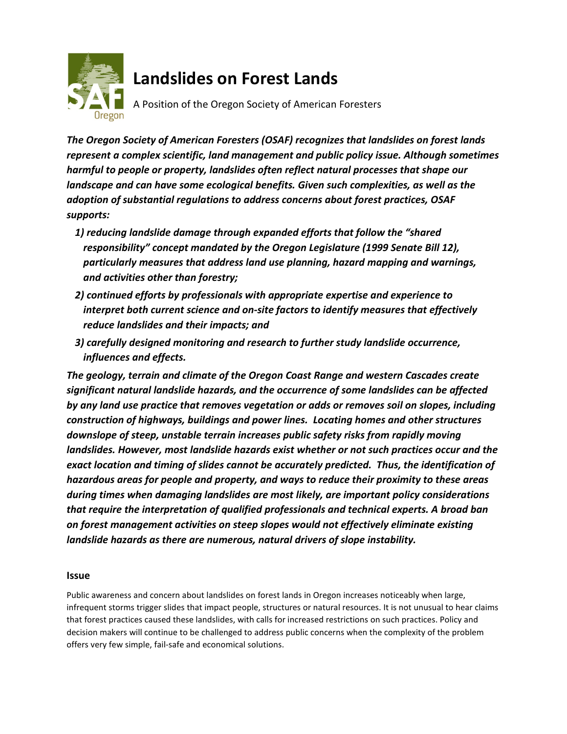

# **Landslides on Forest Lands**

A Position of the Oregon Society of American Foresters

*The Oregon Society of American Foresters (OSAF) recognizes that landslides on forest lands represent a complex scientific, land management and public policy issue. Although sometimes harmful to people or property, landslides often reflect natural processes that shape our landscape and can have some ecological benefits. Given such complexities, as well as the adoption of substantial regulations to address concerns about forest practices, OSAF supports:* 

- *1) reducing landslide damage through expanded efforts that follow the "shared responsibility" concept mandated by the Oregon Legislature (1999 Senate Bill 12), particularly measures that address land use planning, hazard mapping and warnings, and activities other than forestry;*
- *2) continued efforts by professionals with appropriate expertise and experience to interpret both current science and on-site factors to identify measures that effectively reduce landslides and their impacts; and*
- *3) carefully designed monitoring and research to further study landslide occurrence, influences and effects.*

*The geology, terrain and climate of the Oregon Coast Range and western Cascades create significant natural landslide hazards, and the occurrence of some landslides can be affected by any land use practice that removes vegetation or adds or removes soil on slopes, including construction of highways, buildings and power lines. Locating homes and other structures downslope of steep, unstable terrain increases public safety risks from rapidly moving landslides. However, most landslide hazards exist whether or not such practices occur and the exact location and timing of slides cannot be accurately predicted. Thus, the identification of hazardous areas for people and property, and ways to reduce their proximity to these areas during times when damaging landslides are most likely, are important policy considerations that require the interpretation of qualified professionals and technical experts. A broad ban on forest management activities on steep slopes would not effectively eliminate existing landslide hazards as there are numerous, natural drivers of slope instability.*

# **Issue**

Public awareness and concern about landslides on forest lands in Oregon increases noticeably when large, infrequent storms trigger slides that impact people, structures or natural resources. It is not unusual to hear claims that forest practices caused these landslides, with calls for increased restrictions on such practices. Policy and decision makers will continue to be challenged to address public concerns when the complexity of the problem offers very few simple, fail-safe and economical solutions.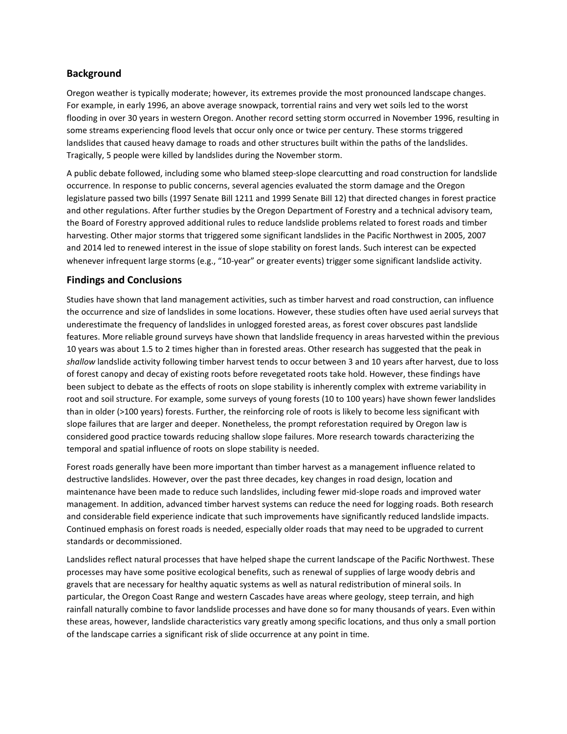### **Background**

Oregon weather is typically moderate; however, its extremes provide the most pronounced landscape changes. For example, in early 1996, an above average snowpack, torrential rains and very wet soils led to the worst flooding in over 30 years in western Oregon. Another record setting storm occurred in November 1996, resulting in some streams experiencing flood levels that occur only once or twice per century. These storms triggered landslides that caused heavy damage to roads and other structures built within the paths of the landslides. Tragically, 5 people were killed by landslides during the November storm.

A public debate followed, including some who blamed steep-slope clearcutting and road construction for landslide occurrence. In response to public concerns, several agencies evaluated the storm damage and the Oregon legislature passed two bills (1997 Senate Bill 1211 and 1999 Senate Bill 12) that directed changes in forest practice and other regulations. After further studies by the Oregon Department of Forestry and a technical advisory team, the Board of Forestry approved additional rules to reduce landslide problems related to forest roads and timber harvesting. Other major storms that triggered some significant landslides in the Pacific Northwest in 2005, 2007 and 2014 led to renewed interest in the issue of slope stability on forest lands. Such interest can be expected whenever infrequent large storms (e.g., "10-year" or greater events) trigger some significant landslide activity.

# **Findings and Conclusions**

Studies have shown that land management activities, such as timber harvest and road construction, can influence the occurrence and size of landslides in some locations. However, these studies often have used aerial surveys that underestimate the frequency of landslides in unlogged forested areas, as forest cover obscures past landslide features. More reliable ground surveys have shown that landslide frequency in areas harvested within the previous 10 years was about 1.5 to 2 times higher than in forested areas. Other research has suggested that the peak in *shallow* landslide activity following timber harvest tends to occur between 3 and 10 years after harvest, due to loss of forest canopy and decay of existing roots before revegetated roots take hold. However, these findings have been subject to debate as the effects of roots on slope stability is inherently complex with extreme variability in root and soil structure. For example, some surveys of young forests (10 to 100 years) have shown fewer landslides than in older (>100 years) forests. Further, the reinforcing role of roots is likely to become less significant with slope failures that are larger and deeper. Nonetheless, the prompt reforestation required by Oregon law is considered good practice towards reducing shallow slope failures. More research towards characterizing the temporal and spatial influence of roots on slope stability is needed.

Forest roads generally have been more important than timber harvest as a management influence related to destructive landslides. However, over the past three decades, key changes in road design, location and maintenance have been made to reduce such landslides, including fewer mid-slope roads and improved water management. In addition, advanced timber harvest systems can reduce the need for logging roads. Both research and considerable field experience indicate that such improvements have significantly reduced landslide impacts. Continued emphasis on forest roads is needed, especially older roads that may need to be upgraded to current standards or decommissioned.

Landslides reflect natural processes that have helped shape the current landscape of the Pacific Northwest. These processes may have some positive ecological benefits, such as renewal of supplies of large woody debris and gravels that are necessary for healthy aquatic systems as well as natural redistribution of mineral soils. In particular, the Oregon Coast Range and western Cascades have areas where geology, steep terrain, and high rainfall naturally combine to favor landslide processes and have done so for many thousands of years. Even within these areas, however, landslide characteristics vary greatly among specific locations, and thus only a small portion of the landscape carries a significant risk of slide occurrence at any point in time.